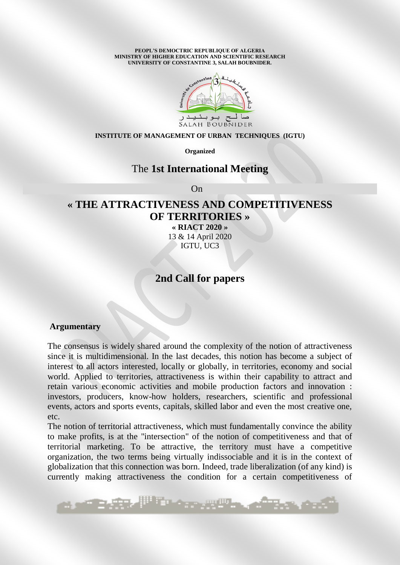**PEOPL'S DEMOCTRIC REPUBLIQUE OF ALGERIA MINISTRY OF HIGHER EDUCATION AND SCIENTIFIC RESEARCH UNIVERSITY OF CONSTANTINE 3, SALAH BOUBNIDER.** 



#### **INSTITUTE OF MANAGEMENT OF URBAN TECHNIQUES (IGTU)**

**Organized** 

## The **1st International Meeting**

**On** Contract the Contract of the Contract of the Contract of the Contract of the Contract of the Contract of the Contract of the Contract of the Contract of the Contract of the Contract of the Contract of the Contract of

# **« THE ATTRACTIVENESS AND COMPETITIVENESS OF TERRITORIES »**

**« RIACT 2020 »**  13 & 14 April 2020 IGTU, UC3

# **2nd Call for papers**

#### **Argumentary**

The consensus is widely shared around the complexity of the notion of attractiveness since it is multidimensional. In the last decades, this notion has become a subject of interest to all actors interested, locally or globally, in territories, economy and social world. Applied to territories, attractiveness is within their capability to attract and retain various economic activities and mobile production factors and innovation : investors, producers, know-how holders, researchers, scientific and professional events, actors and sports events, capitals, skilled labor and even the most creative one, etc.

The notion of territorial attractiveness, which must fundamentally convince the ability to make profits, is at the "intersection" of the notion of competitiveness and that of territorial marketing. To be attractive, the territory must have a competitive organization, the two terms being virtually indissociable and it is in the context of globalization that this connection was born. Indeed, trade liberalization (of any kind) is currently making attractiveness the condition for a certain competitiveness of

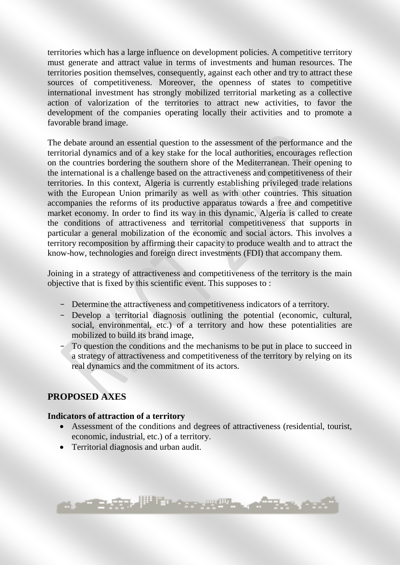territories which has a large influence on development policies. A competitive territory must generate and attract value in terms of investments and human resources. The territories position themselves, consequently, against each other and try to attract these sources of competitiveness. Moreover, the openness of states to competitive international investment has strongly mobilized territorial marketing as a collective action of valorization of the territories to attract new activities, to favor the development of the companies operating locally their activities and to promote a favorable brand image.

The debate around an essential question to the assessment of the performance and the territorial dynamics and of a key stake for the local authorities, encourages reflection on the countries bordering the southern shore of the Mediterranean. Their opening to the international is a challenge based on the attractiveness and competitiveness of their territories. In this context, Algeria is currently establishing privileged trade relations with the European Union primarily as well as with other countries. This situation accompanies the reforms of its productive apparatus towards a free and competitive market economy. In order to find its way in this dynamic, Algeria is called to create the conditions of attractiveness and territorial competitiveness that supports in particular a general mobilization of the economic and social actors. This involves a territory recomposition by affirming their capacity to produce wealth and to attract the know-how, technologies and foreign direct investments (FDI) that accompany them.

Joining in a strategy of attractiveness and competitiveness of the territory is the main objective that is fixed by this scientific event. This supposes to :

- Determine the attractiveness and competitiveness indicators of a territory.
- Develop a territorial diagnosis outlining the potential (economic, cultural, social, environmental, etc.) of a territory and how these potentialities are mobilized to build its brand image,
- To question the conditions and the mechanisms to be put in place to succeed in a strategy of attractiveness and competitiveness of the territory by relying on its real dynamics and the commitment of its actors.

# **PROPOSED AXES**

### **Indicators of attraction of a territory**

**North Alberta** 

 Assessment of the conditions and degrees of attractiveness (residential, tourist, economic, industrial, etc.) of a territory.

A provided and the sea

Territorial diagnosis and urban audit.